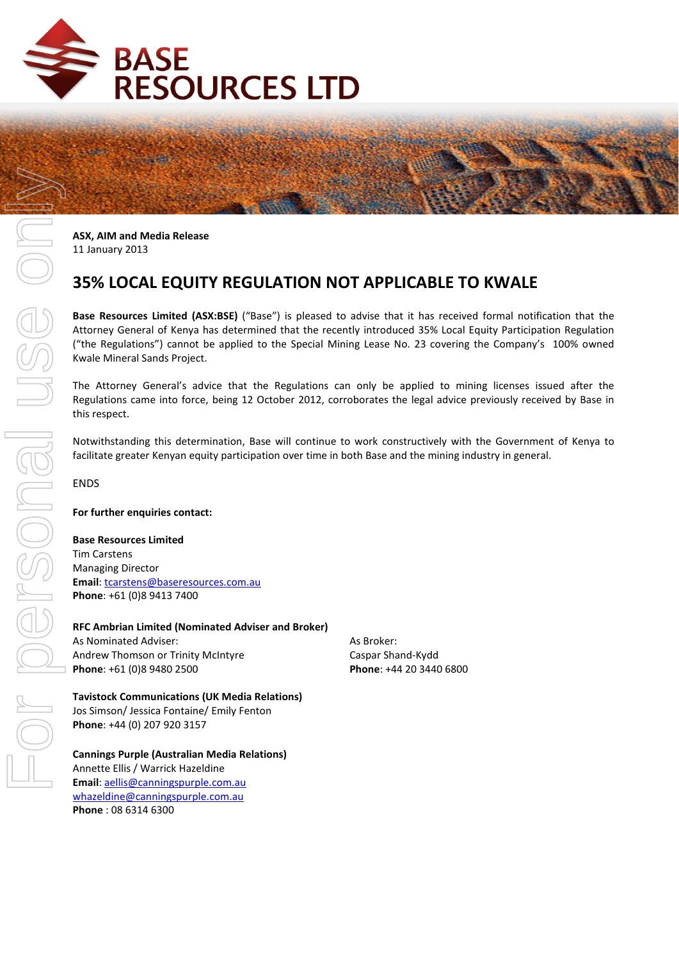

医盘

**ASX, AIM and Media Release**  11 January 2013

# **35% LOCAL EQUITY REGULATION NOT APPLICABLE TO KWALE**

**Base Resources Limited (ASX:BSE)** ("Base") is pleased to advise that it has received formal notification that the Attorney General of Kenya has determined that the recently introduced 35% Local Equity Participation Regulation ("the Regulations") cannot be applied to the Special Mining Lease No. 23 covering the Company's 100% owned Kwale Mineral Sands Project.

The Attorney General's advice that the Regulations can only be applied to mining licenses issued after the Regulations came into force, being 12 October 2012, corroborates the legal advice previously received by Base in this respect.

Notwithstanding this determination, Base will continue to work constructively with the Government of Kenya to facilitate greater Kenyan equity participation over time in both Base and the mining industry in general.

ENDS

#### **For further enquiries contact:**

**Base Resources Limited** 

Tim Carstens Managing Director **Email**: tcarstens@baseresources.com.au **Phone**: +61 (0)8 9413 7400

**RFC Ambrian Limited (Nominated Adviser and Broker)** As Nominated Adviser: Andrew Thomson or Trinity McIntyre **Phone**: +61 (0)8 9480 2500

#### **Tavistock Communications (UK Media Relations)**

Jos Simson/ Jessica Fontaine/ Emily Fenton **Phone**: +44 (0) 207 920 3157

#### **Cannings Purple (Australian Media Relations)**

Annette Ellis / Warrick Hazeldine **Email**: aellis@canningspurple.com.au whazeldine@canningspurple.com.au **Phone** : 08 6314 6300

As Broker: Caspar Shand-Kydd **Phone**: +44 20 3440 6800